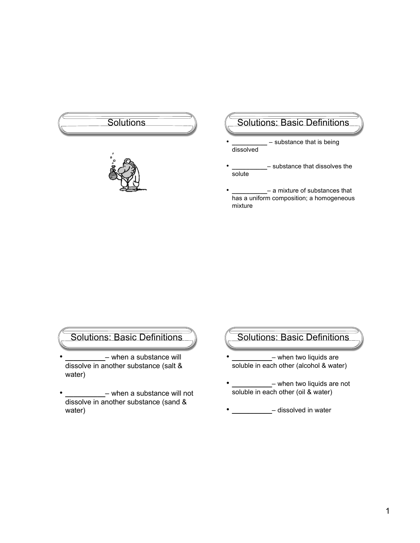



### Solutions (Solutions: Basic Definitions

- **\_\_\_\_\_\_\_\_\_\_**  substance that is being dissolved
- **\_\_\_\_\_\_\_\_\_\_** substance that dissolves the solute
- **\_\_\_\_\_\_\_\_\_\_** a mixture of substances that has a uniform composition; a homogeneous mixture

Solutions: Basic Definitions

- **\_\_\_\_\_\_\_\_\_\_** when a substance will dissolve in another substance (salt & water)
- **\_\_\_\_\_\_\_\_\_\_** when a substance will not dissolve in another substance (sand & water)

#### Solutions: Basic Definitions

- **\_\_\_\_\_\_\_\_\_\_** when two liquids are soluble in each other (alcohol & water)
- **\_\_\_\_\_\_\_\_\_\_** when two liquids are not soluble in each other (oil & water)
- **\_\_\_\_\_\_\_\_\_\_** dissolved in water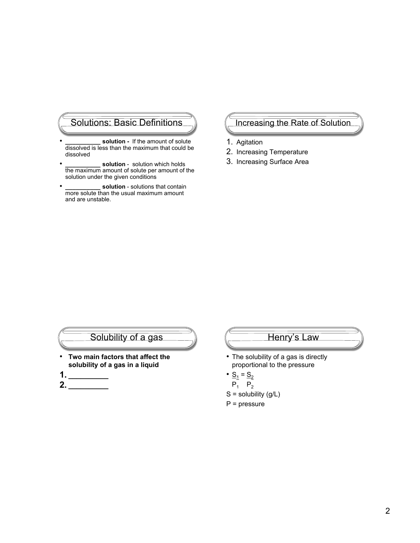### Solutions: Basic Definitions

- solution If the amount of solute dissolved is less than the maximum that could be dissolved
- solution solution which holds the maximum amount of solute per amount of the solution under the given conditions
- solution solutions that contain more solute than the usual maximum amount and are unstable.

### Increasing the Rate of Solution

- 1. Agitation
- 2. Increasing Temperature
- 3. Increasing Surface Area

### Solubility of a gas

- **Two main factors that affect the solubility of a gas in a liquid**
- **1. \_\_\_\_\_\_\_\_\_\_**
- **2. \_\_\_\_\_\_\_\_\_\_**

### Henry's Law

- The solubility of a gas is directly proportional to the pressure
- $S_1 = S_2$
- $P_1$   $P_2$
- $S =$  solubility  $(g/L)$
- P = pressure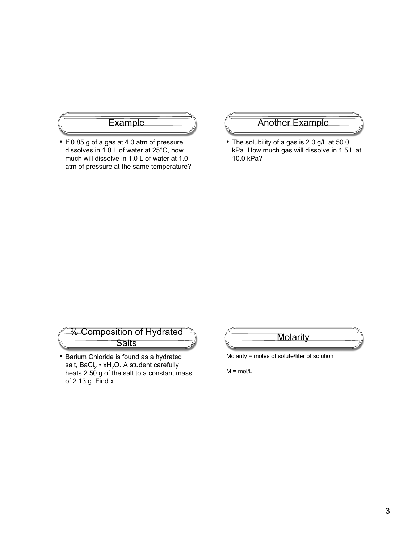

• If 0.85 g of a gas at 4.0 atm of pressure dissolves in 1.0 L of water at 25°C, how much will dissolve in 1.0 L of water at 1.0 atm of pressure at the same temperature?

#### Another Example

• The solubility of a gas is 2.0 g/L at 50.0 kPa. How much gas will dissolve in 1.5 L at 10.0 kPa?

% Composition of Hydrated **Salts** 

• Barium Chloride is found as a hydrated salt,  $BaCl_2 \cdot xH_2O$ . A student carefully heats 2.50 g of the salt to a constant mass of 2.13 g. Find x.



Molarity = moles of solute/liter of solution

 $M = \text{mol/L}$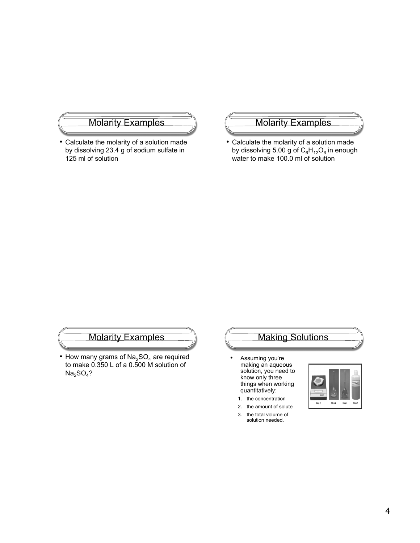### Molarity Examples

• Calculate the molarity of a solution made by dissolving 23.4 g of sodium sulfate in 125 ml of solution

#### Molarity Examples

• Calculate the molarity of a solution made by dissolving 5.00 g of  $C_6H_{12}O_6$  in enough water to make 100.0 ml of solution

### Molarity Examples

• How many grams of  $Na<sub>2</sub>SO<sub>4</sub>$  are required to make 0.350 L of a 0.500 M solution of  $Na<sub>2</sub>SO<sub>4</sub>$ ?

### Making Solutions

- Assuming you're making an aqueous solution, you need to know only three things when working quantitatively:
- 1. the concentration
- 2. the amount of solute
- 3. the total volume of solution needed.

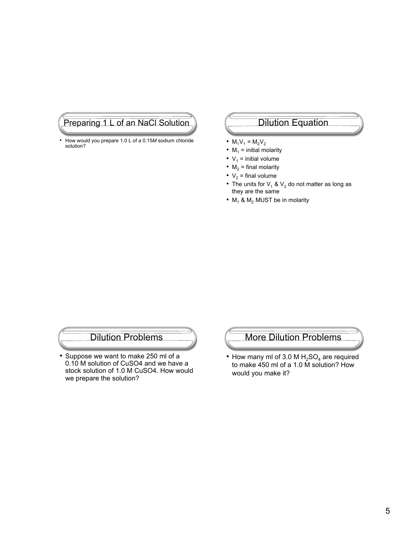### Preparing 1 L of an NaCl Solution

• How would you prepare 1.0 L of a 0.15*M* sodium chloride solution?

## Dilution Equation

- $M_1V_1 = M_2V_2$
- $M_1$  = initial molarity
- $V_1$  = initial volume
- $M_2$  = final molarity
- $V_2$  = final volume
- The units for  $V_1$  &  $V_2$  do not matter as long as they are the same
- $M_1$  &  $M_2$  MUST be in molarity

### Dilution Problems

• Suppose we want to make 250 ml of a 0.10 M solution of CuSO4 and we have a stock solution of 1.0 M CuSO4. How would we prepare the solution?

### More Dilution Problems

• How many ml of 3.0 M  $H<sub>2</sub>SO<sub>4</sub>$  are required to make 450 ml of a 1.0 M solution? How would you make it?